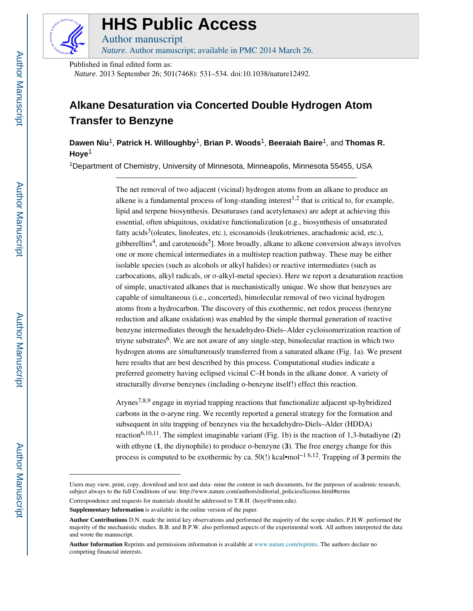

# **HHS Public Access**

Author manuscript *Nature*. Author manuscript; available in PMC 2014 March 26.

Published in final edited form as:

*Nature*. 2013 September 26; 501(7468): 531–534. doi:10.1038/nature12492.

# **Alkane Desaturation via Concerted Double Hydrogen Atom Transfer to Benzyne**

**Dawen Niu**1, **Patrick H. Willoughby**1, **Brian P. Woods**1, **Beeraiah Baire**1, and **Thomas R. Hoye**<sup>1</sup>

<sup>1</sup>Department of Chemistry, University of Minnesota, Minneapolis, Minnesota 55455, USA

The net removal of two adjacent (vicinal) hydrogen atoms from an alkane to produce an alkene is a fundamental process of long-standing interest<sup>1,2</sup> that is critical to, for example, lipid and terpene biosynthesis. Desaturases (and acetylenases) are adept at achieving this essential, often ubiquitous, oxidative functionalization [e.g., biosynthesis of unsaturated fatty acids<sup>3</sup>(oleates, linoleates, etc.), eicosanoids (leukotrienes, arachadonic acid, etc.), gibberellins<sup>4</sup>, and carotenoids<sup>5</sup>]. More broadly, alkane to alkene conversion always involves one or more chemical intermediates in a multistep reaction pathway. These may be either isolable species (such as alcohols or alkyl halides) or reactive intermediates (such as carbocations, alkyl radicals, or σ-alkyl-metal species). Here we report a desaturation reaction of simple, unactivated alkanes that is mechanistically unique. We show that benzynes are capable of simultaneous (i.e., concerted), bimolecular removal of two vicinal hydrogen atoms from a hydrocarbon. The discovery of this exothermic, net redox process (benzyne reduction and alkane oxidation) was enabled by the simple thermal generation of reactive benzyne intermediates through the hexadehydro-Diels–Alder cycloisomerization reaction of triyne substrates<sup>6</sup>. We are not aware of any single-step, bimolecular reaction in which two hydrogen atoms are *simultaneously* transferred from a saturated alkane (Fig. 1a). We present here results that are best described by this process. Computational studies indicate a preferred geometry having eclipsed vicinal C–H bonds in the alkane donor. A variety of structurally diverse benzynes (including *o*-benzyne itself!) effect this reaction.

Arynes7,8,9 engage in myriad trapping reactions that functionalize adjacent sp-hybridized carbons in the *o*-aryne ring. We recently reported a general strategy for the formation and subsequent *in situ* trapping of benzynes via the hexadehydro-Diels–Alder (HDDA) reaction<sup>6,10,11</sup>. The simplest imaginable variant (Fig. 1b) is the reaction of 1,3-butadiyne  $(2)$ with ethyne (**1**, the diynophile) to produce *o*-benzyne (**3**). The free energy change for this process is computed to be exothermic by ca. 50(!) kcal•mol−1 6,12. Trapping of **3** permits the

Users may view, print, copy, download and text and data- mine the content in such documents, for the purposes of academic research, subject always to the full Conditions of use: http://www.nature.com/authors/editorial\_policies/license.html#terms Correspondence and requests for materials should be addressed to T.R.H. (hoye@umn.edu).

**Supplementary Information** is available in the online version of the paper.

**Author Contributions** D.N. made the initial key observations and performed the majority of the scope studies. P.H.W. performed the majority of the mechanistic studies. B.B. and B.P.W. also performed aspects of the experimental work. All authors interpreted the data and wrote the manuscript.

**Author Information** Reprints and permissions information is available at www.nature.com/reprints. The authors declare no competing financial interests.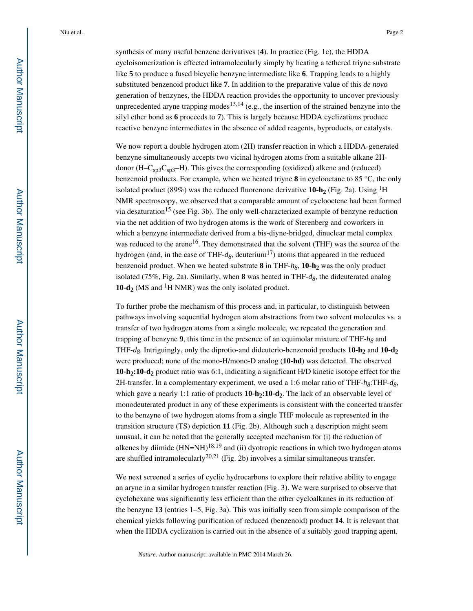synthesis of many useful benzene derivatives (**4**). In practice (Fig. 1c), the HDDA cycloisomerization is effected intramolecularly simply by heating a tethered triyne substrate like **5** to produce a fused bicyclic benzyne intermediate like **6**. Trapping leads to a highly substituted benzenoid product like **7**. In addition to the preparative value of this *de novo*  generation of benzynes, the HDDA reaction provides the opportunity to uncover previously unprecedented aryne trapping modes<sup>13,14</sup> (e.g., the insertion of the strained benzyne into the silyl ether bond as **6** proceeds to **7**). This is largely because HDDA cyclizations produce reactive benzyne intermediates in the absence of added reagents, byproducts, or catalysts.

We now report a double hydrogen atom  $(2H)$  transfer reaction in which a HDDA-generated benzyne simultaneously accepts two vicinal hydrogen atoms from a suitable alkane 2Hdonor  $(H-C<sub>sp3</sub>C<sub>sp3</sub>–H)$ . This gives the corresponding (oxidized) alkene and (reduced) benzenoid products. For example, when we heated triyne **8** in cyclooctane to 85 °C, the only isolated product (89%) was the reduced fluorenone derivative **10-h**<sub>2</sub> (Fig. 2a). Using <sup>1</sup>H NMR spectroscopy, we observed that a comparable amount of cyclooctene had been formed via desaturation<sup>15</sup> (see Fig. 3b). The only well-characterized example of benzyne reduction via the net addition of two hydrogen atoms is the work of Sterenberg and coworkers in which a benzyne intermediate derived from a bis-diyne-bridged, dinuclear metal complex was reduced to the arene<sup>16</sup>. They demonstrated that the solvent (THF) was the source of the hydrogen (and, in the case of THF- $d_8$ , deuterium<sup>17</sup>) atoms that appeared in the reduced benzenoid product. When we heated substrate **8** in THF-*h8*, **10-h2** was the only product isolated (75%, Fig. 2a). Similarly, when **8** was heated in THF-*d8*, the dideuterated analog **10-d<sub>2</sub>** (MS and <sup>1</sup>H NMR) was the only isolated product.

To further probe the mechanism of this process and, in particular, to distinguish between pathways involving sequential hydrogen atom abstractions from two solvent molecules vs. a transfer of two hydrogen atoms from a single molecule, we repeated the generation and trapping of benzyne **9**, this time in the presence of an equimolar mixture of THF-*h8* and THF-*d8*. Intriguingly, only the diprotio-and dideuterio-benzenoid products **10-h2** and **10-d<sup>2</sup>** were produced; none of the mono-H/mono-D analog (**10-hd**) was detected. The observed **10-h2:10-d2** product ratio was 6:1, indicating a significant H/D kinetic isotope effect for the 2H-transfer. In a complementary experiment, we used a 1:6 molar ratio of THF-*h8*:THF-*d8*, which gave a nearly 1:1 ratio of products **10-h2:10-d2**. The lack of an observable level of monodeuterated product in any of these experiments is consistent with the concerted transfer to the benzyne of two hydrogen atoms from a single THF molecule as represented in the transition structure (TS) depiction **11** (Fig. 2b). Although such a description might seem unusual, it can be noted that the generally accepted mechanism for (i) the reduction of alkenes by diimide  $(HN=NH)^{18,19}$  and (ii) dyotropic reactions in which two hydrogen atoms are shuffled intramolecularly<sup>20,21</sup> (Fig. 2b) involves a similar simultaneous transfer.

We next screened a series of cyclic hydrocarbons to explore their relative ability to engage an aryne in a similar hydrogen transfer reaction (Fig. 3). We were surprised to observe that cyclohexane was significantly less efficient than the other cycloalkanes in its reduction of the benzyne **13** (entries 1–5, Fig. 3a). This was initially seen from simple comparison of the chemical yields following purification of reduced (benzenoid) product **14**. It is relevant that when the HDDA cyclization is carried out in the absence of a suitably good trapping agent,

*Nature*. Author manuscript; available in PMC 2014 March 26.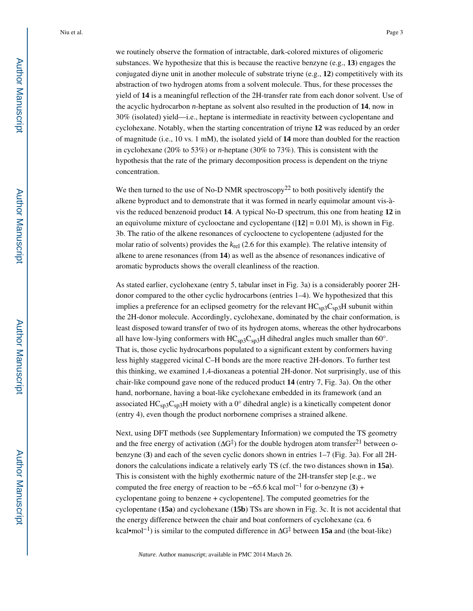we routinely observe the formation of intractable, dark-colored mixtures of oligomeric substances. We hypothesize that this is because the reactive benzyne (e.g., **13**) engages the conjugated diyne unit in another molecule of substrate triyne (e.g., **12**) competitively with its abstraction of two hydrogen atoms from a solvent molecule. Thus, for these processes the yield of **14** is a meaningful reflection of the 2H-transfer rate from each donor solvent. Use of the acyclic hydrocarbon *n*-heptane as solvent also resulted in the production of **14**, now in 30% (isolated) yield—i.e., heptane is intermediate in reactivity between cyclopentane and cyclohexane. Notably, when the starting concentration of triyne **12** was reduced by an order of magnitude (i.e., 10 vs. 1 mM), the isolated yield of **14** more than doubled for the reaction in cyclohexane (20% to 53%) or *n*-heptane (30% to 73%). This is consistent with the hypothesis that the rate of the primary decomposition process is dependent on the triyne concentration.

We then turned to the use of No-D NMR spectroscopy<sup>22</sup> to both positively identify the alkene byproduct and to demonstrate that it was formed in nearly equimolar amount vis-àvis the reduced benzenoid product **14**. A typical No-D spectrum, this one from heating **12** in an equivolume mixture of cyclooctane and cyclopentane ( $[12] = 0.01$  M), is shown in Fig. 3b. The ratio of the alkene resonances of cyclooctene to cyclopentene (adjusted for the molar ratio of solvents) provides the *k*rel (2.6 for this example). The relative intensity of alkene to arene resonances (from **14**) as well as the absence of resonances indicative of aromatic byproducts shows the overall cleanliness of the reaction.

As stated earlier, cyclohexane (entry 5, tabular inset in Fig. 3a) is a considerably poorer 2Hdonor compared to the other cyclic hydrocarbons (entries 1–4). We hypothesized that this implies a preference for an eclipsed geometry for the relevant  $HC_{sn3}C_{sn3}H$  subunit within the 2H-donor molecule. Accordingly, cyclohexane, dominated by the chair conformation, is least disposed toward transfer of two of its hydrogen atoms, whereas the other hydrocarbons all have low-lying conformers with  $HC_{sp3}C_{sp3}H$  dihedral angles much smaller than 60°. That is, those cyclic hydrocarbons populated to a significant extent by conformers having less highly staggered vicinal C–H bonds are the more reactive 2H-donors. To further test this thinking, we examined 1,4-dioxaneas a potential 2H-donor. Not surprisingly, use of this chair-like compound gave none of the reduced product **14** (entry 7, Fig. 3a). On the other hand, norbornane, having a boat-like cyclohexane embedded in its framework (and an associated  $HC_{sp3}C_{sp3}H$  moiety with a 0 $\textdegree$  dihedral angle) is a kinetically competent donor (entry 4), even though the product norbornene comprises a strained alkene.

Next, using DFT methods (see Supplementary Information) we computed the TS geometry and the free energy of activation (ΔG‡ ) for the double hydrogen atom transfer21 between *o*benzyne (**3**) and each of the seven cyclic donors shown in entries 1–7 (Fig. 3a). For all 2Hdonors the calculations indicate a relatively early TS (cf. the two distances shown in **15a**). This is consistent with the highly exothermic nature of the 2H-transfer step [e.g., we computed the free energy of reaction to be −65.6 kcal mol−1 for *o*-benzyne (**3**) + cyclopentane going to benzene + cyclopentene]. The computed geometries for the cyclopentane (**15a**) and cyclohexane (**15b**) TSs are shown in Fig. 3c. It is not accidental that the energy difference between the chair and boat conformers of cyclohexane (ca. 6 kcal•mol<sup>-1</sup>) is similar to the computed difference in ΔG<sup>‡</sup> between **15a** and (the boat-like)

*Nature*. Author manuscript; available in PMC 2014 March 26.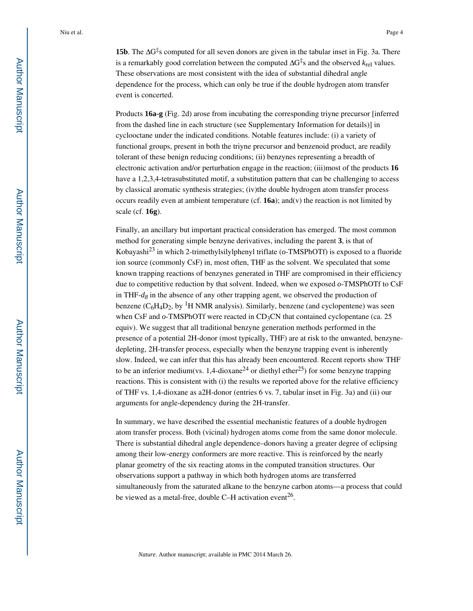**15b**. The  $\Delta G^{\ddagger}$ s computed for all seven donors are given in the tabular inset in Fig. 3a. There is a remarkably good correlation between the computed  $\Delta G^{\ddagger}$ s and the observed  $k_{rel}$  values. These observations are most consistent with the idea of substantial dihedral angle dependence for the process, which can only be true if the double hydrogen atom transfer event is concerted.

Products **16a-g** (Fig. 2d) arose from incubating the corresponding triyne precursor [inferred from the dashed line in each structure (see Supplementary Information for details)] in cyclooctane under the indicated conditions. Notable features include: (i) a variety of functional groups, present in both the triyne precursor and benzenoid product, are readily tolerant of these benign reducing conditions; (ii) benzynes representing a breadth of electronic activation and/or perturbation engage in the reaction; (iii)most of the products **16**  have a 1,2,3,4-tetrasubstituted motif, a substitution pattern that can be challenging to access by classical aromatic synthesis strategies; (iv)the double hydrogen atom transfer process occurs readily even at ambient temperature (cf.  $16a$ ); and(v) the reaction is not limited by scale (cf. **16g**).

Finally, an ancillary but important practical consideration has emerged. The most common method for generating simple benzyne derivatives, including the parent **3**, is that of Kobayashi23 in which 2-trimethylsilylphenyl triflate (*o*-TMSPhOTf) is exposed to a fluoride ion source (commonly CsF) in, most often, THF as the solvent. We speculated that some known trapping reactions of benzynes generated in THF are compromised in their efficiency due to competitive reduction by that solvent. Indeed, when we exposed *o*-TMSPhOTf to CsF in THF-*d8* in the absence of any other trapping agent, we observed the production of benzene  $(C_6H_4D_2$ , by <sup>1</sup>H NMR analysis). Similarly, benzene (and cyclopentene) was seen when CsF and  $o$ -TMSPhOTf were reacted in CD<sub>3</sub>CN that contained cyclopentane (ca. 25) equiv). We suggest that all traditional benzyne generation methods performed in the presence of a potential 2H-donor (most typically, THF) are at risk to the unwanted, benzynedepleting, 2H-transfer process, especially when the benzyne trapping event is inherently slow. Indeed, we can infer that this has already been encountered. Recent reports show THF to be an inferior medium(vs. 1.4-dioxane<sup>24</sup> or diethyl ether<sup>25</sup>) for some benzyne trapping reactions. This is consistent with (i) the results we reported above for the relative efficiency of THF vs. 1,4-dioxane as a2H-donor (entries 6 vs. 7, tabular inset in Fig. 3a) and (ii) our arguments for angle-dependency during the 2H-transfer.

In summary, we have described the essential mechanistic features of a double hydrogen atom transfer process. Both (vicinal) hydrogen atoms come from the same donor molecule. There is substantial dihedral angle dependence–donors having a greater degree of eclipsing among their low-energy conformers are more reactive. This is reinforced by the nearly planar geometry of the six reacting atoms in the computed transition structures. Our observations support a pathway in which both hydrogen atoms are transferred simultaneously from the saturated alkane to the benzyne carbon atoms—a process that could be viewed as a metal-free, double C–H activation event<sup>26</sup>.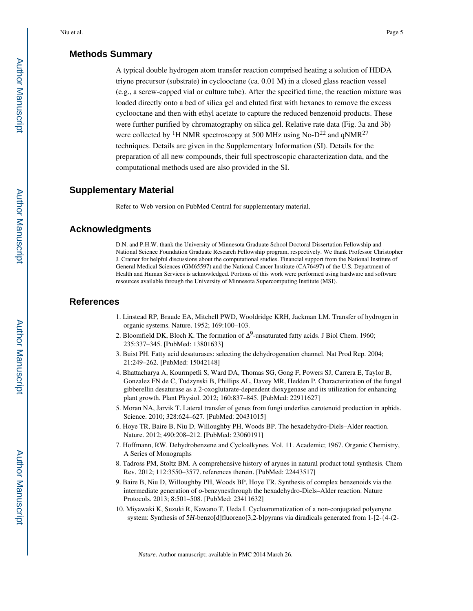## **Methods Summary**

A typical double hydrogen atom transfer reaction comprised heating a solution of HDDA triyne precursor (substrate) in cyclooctane (ca. 0.01 M) in a closed glass reaction vessel (e.g., a screw-capped vial or culture tube). After the specified time, the reaction mixture was loaded directly onto a bed of silica gel and eluted first with hexanes to remove the excess cyclooctane and then with ethyl acetate to capture the reduced benzenoid products. These were further purified by chromatography on silica gel. Relative rate data (Fig. 3a and 3b) were collected by <sup>1</sup>H NMR spectroscopy at 500 MHz using No- $D^{22}$  and qNMR<sup>27</sup> techniques. Details are given in the Supplementary Information (SI). Details for the preparation of all new compounds, their full spectroscopic characterization data, and the computational methods used are also provided in the SI.

### **Supplementary Material**

Refer to Web version on PubMed Central for supplementary material.

#### **Acknowledgments**

D.N. and P.H.W. thank the University of Minnesota Graduate School Doctoral Dissertation Fellowship and National Science Foundation Graduate Research Fellowship program, respectively. We thank Professor Christopher J. Cramer for helpful discussions about the computational studies. Financial support from the National Institute of General Medical Sciences (GM65597) and the National Cancer Institute (CA76497) of the U.S. Department of Health and Human Services is acknowledged. Portions of this work were performed using hardware and software resources available through the University of Minnesota Supercomputing Institute (MSI).

### **References**

- 1. Linstead RP, Braude EA, Mitchell PWD, Wooldridge KRH, Jackman LM. Transfer of hydrogen in organic systems. Nature. 1952; 169:100–103.
- 2. Bloomfield DK, Bloch K. The formation of  $\Delta^9$ -unsaturated fatty acids. J Biol Chem. 1960; 235:337–345. [PubMed: 13801633]
- 3. Buist PH. Fatty acid desaturases: selecting the dehydrogenation channel. Nat Prod Rep. 2004; 21:249–262. [PubMed: 15042148]
- 4. Bhattacharya A, Kourmpetli S, Ward DA, Thomas SG, Gong F, Powers SJ, Carrera E, Taylor B, Gonzalez FN de C, Tudzynski B, Phillips AL, Davey MR, Hedden P. Characterization of the fungal gibberellin desaturase as a 2-oxoglutarate-dependent dioxygenase and its utilization for enhancing plant growth. Plant Physiol. 2012; 160:837–845. [PubMed: 22911627]
- 5. Moran NA, Jarvik T. Lateral transfer of genes from fungi underlies carotenoid production in aphids. Science. 2010; 328:624–627. [PubMed: 20431015]
- 6. Hoye TR, Baire B, Niu D, Willoughby PH, Woods BP. The hexadehydro-Diels–Alder reaction. Nature. 2012; 490:208–212. [PubMed: 23060191]
- 7. Hoffmann, RW. Dehydrobenzene and Cycloalkynes. Vol. 11. Academic; 1967. Organic Chemistry, A Series of Monographs
- 8. Tadross PM, Stoltz BM. A comprehensive history of arynes in natural product total synthesis. Chem Rev. 2012; 112:3550–3577. references therein. [PubMed: 22443517]
- 9. Baire B, Niu D, Willoughby PH, Woods BP, Hoye TR. Synthesis of complex benzenoids via the intermediate generation of *o*-benzynesthrough the hexadehydro-Diels–Alder reaction. Nature Protocols. 2013; 8:501–508. [PubMed: 23411632]
- 10. Miyawaki K, Suzuki R, Kawano T, Ueda I. Cycloaromatization of a non-conjugated polyenyne system: Synthesis of 5*H*-benzo[d]fluoreno[3,2-b]pyrans via diradicals generated from 1-[2-{4-(2-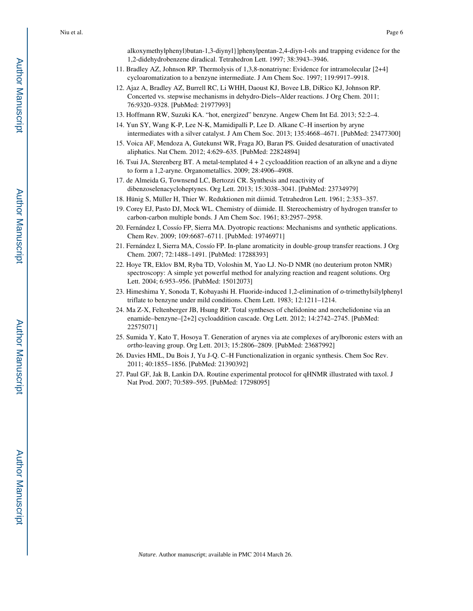alkoxymethylphenyl)butan-1,3-diynyl}]phenylpentan-2,4-diyn-l-ols and trapping evidence for the 1,2-didehydrobenzene diradical. Tetrahedron Lett. 1997; 38:3943–3946.

- 11. Bradley AZ, Johnson RP. Thermolysis of 1,3,8-nonatriyne: Evidence for intramolecular [2+4] cycloaromatization to a benzyne intermediate. J Am Chem Soc. 1997; 119:9917–9918.
- 12. Ajaz A, Bradley AZ, Burrell RC, Li WHH, Daoust KJ, Bovee LB, DiRico KJ, Johnson RP. Concerted vs. stepwise mechanisms in dehydro-Diels−Alder reactions. J Org Chem. 2011; 76:9320–9328. [PubMed: 21977993]
- 13. Hoffmann RW, Suzuki KA. "hot, energized" benzyne. Angew Chem Int Ed. 2013; 52:2–4.
- 14. Yun SY, Wang K-P, Lee N-K, Mamidipalli P, Lee D. Alkane C–H insertion by aryne intermediates with a silver catalyst. J Am Chem Soc. 2013; 135:4668–4671. [PubMed: 23477300]
- 15. Voica AF, Mendoza A, Gutekunst WR, Fraga JO, Baran PS. Guided desaturation of unactivated aliphatics. Nat Chem. 2012; 4:629–635. [PubMed: 22824894]
- 16. Tsui JA, Sterenberg BT. A metal-templated 4 + 2 cycloaddition reaction of an alkyne and a diyne to form a 1,2-aryne. Organometallics. 2009; 28:4906–4908.
- 17. de Almeida G, Townsend LC, Bertozzi CR. Synthesis and reactivity of dibenzoselenacycloheptynes. Org Lett. 2013; 15:3038–3041. [PubMed: 23734979]
- 18. Hünig S, Müller H, Thier W. Reduktionen mit diimid. Tetrahedron Lett. 1961; 2:353–357.
- 19. Corey EJ, Pasto DJ, Mock WL. Chemistry of diimide. II. Stereochemistry of hydrogen transfer to carbon-carbon multiple bonds. J Am Chem Soc. 1961; 83:2957–2958.
- 20. Fernández I, Cossío FP, Sierra MA. Dyotropic reactions: Mechanisms and synthetic applications. Chem Rev. 2009; 109:6687–6711. [PubMed: 19746971]
- 21. Fernández I, Sierra MA, Cossío FP. In-plane aromaticity in double-group transfer reactions. J Org Chem. 2007; 72:1488–1491. [PubMed: 17288393]
- 22. Hoye TR, Eklov BM, Ryba TD, Voloshin M, Yao LJ. No-D NMR (no deuterium proton NMR) spectroscopy: A simple yet powerful method for analyzing reaction and reagent solutions. Org Lett. 2004; 6:953–956. [PubMed: 15012073]
- 23. Himeshima Y, Sonoda T, Kobayashi H. Fluoride-induced 1,2-elimination of *o*-trimethylsilylphenyl triflate to benzyne under mild conditions. Chem Lett. 1983; 12:1211–1214.
- 24. Ma Z-X, Feltenberger JB, Hsung RP. Total syntheses of chelidonine and norchelidonine via an enamide–benzyne–[2+2] cycloaddition cascade. Org Lett. 2012; 14:2742–2745. [PubMed: 22575071]
- 25. Sumida Y, Kato T, Hosoya T. Generation of arynes via ate complexes of arylboronic esters with an *ortho*-leaving group. Org Lett. 2013; 15:2806–2809. [PubMed: 23687992]
- 26. Davies HML, Du Bois J, Yu J-Q. C–H Functionalization in organic synthesis. Chem Soc Rev. 2011; 40:1855–1856. [PubMed: 21390392]
- 27. Paul GF, Jak B, Lankin DA. Routine experimental protocol for qHNMR illustrated with taxol. J Nat Prod. 2007; 70:589–595. [PubMed: 17298095]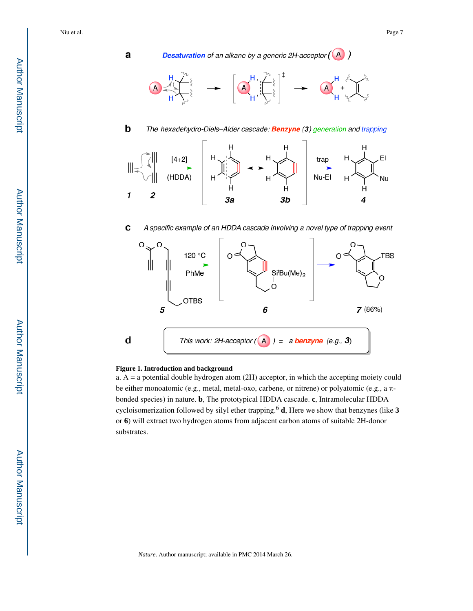a

 $\mathbf b$ 

**Desaturation** of an alkane by a generic 2H-acceptor  $(A)$ 



The hexadehydro-Diels-Alder cascade: Benzyne (3) generation and trapping



C A specific example of an HDDA cascade involving a novel type of trapping event



#### **Figure 1. Introduction and background**

a. A = a potential double hydrogen atom (2H) acceptor, in which the accepting moiety could be either monoatomic (e.g., metal, metal-oxo, carbene, or nitrene) or polyatomic (e.g., a πbonded species) in nature. **b**, The prototypical HDDA cascade. **c**, Intramolecular HDDA cycloisomerization followed by silyl ether trapping.<sup>6</sup> **d**, Here we show that benzynes (like **3**  or **6**) will extract two hydrogen atoms from adjacent carbon atoms of suitable 2H-donor substrates.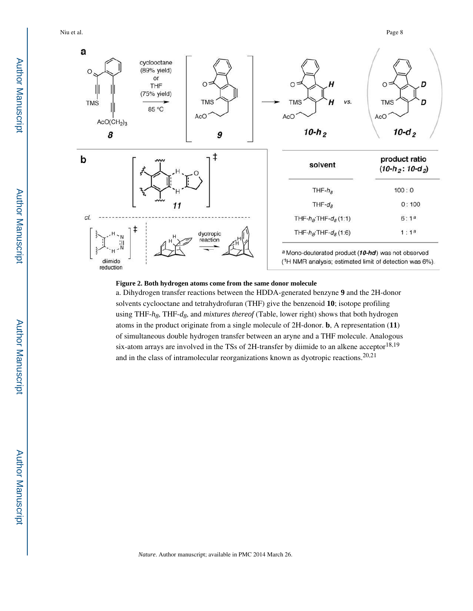Niu et al. Page 8



#### **Figure 2. Both hydrogen atoms come from the same donor molecule**

a. Dihydrogen transfer reactions between the HDDA-generated benzyne **9** and the 2H-donor solvents cyclooctane and tetrahydrofuran (THF) give the benzenoid **10**; isotope profiling using THF-*h8*, THF-*d8*, and *mixtures thereof* (Table, lower right) shows that both hydrogen atoms in the product originate from a single molecule of 2H-donor. **b**, A representation (**11**) of simultaneous double hydrogen transfer between an aryne and a THF molecule. Analogous six-atom arrays are involved in the TSs of 2H-transfer by diimide to an alkene acceptor<sup>18,19</sup> and in the class of intramolecular reorganizations known as dyotropic reactions.<sup>20,21</sup>